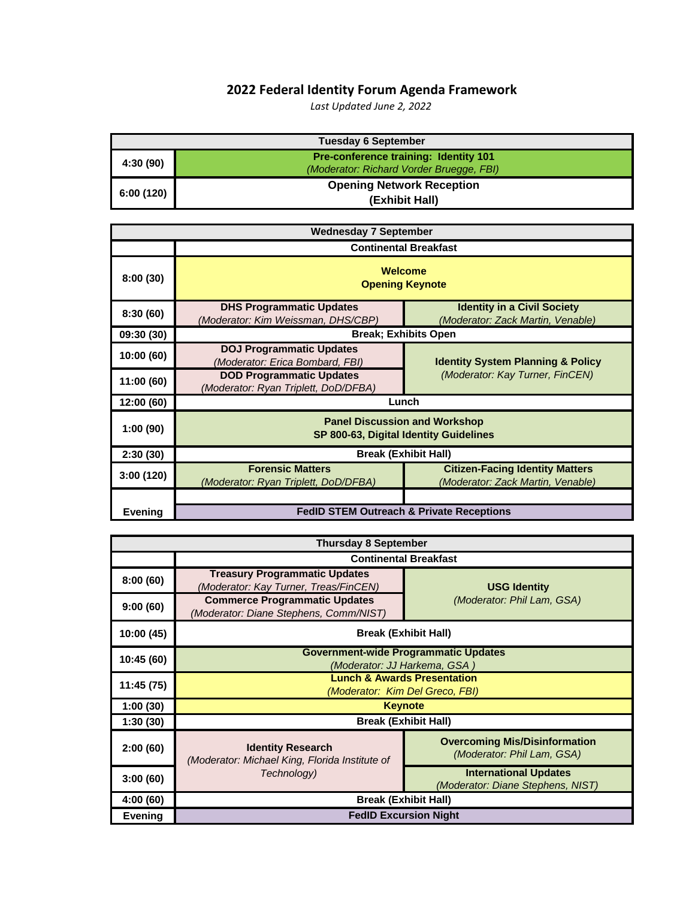## **2022 Federal Identity Forum Agenda Framework**

*Last Updated June 2, 2022*

| <b>Tuesday 6 September</b> |                                                                                          |  |  |
|----------------------------|------------------------------------------------------------------------------------------|--|--|
| 4:30 (90)                  | <b>Pre-conference training: Identity 101</b><br>(Moderator: Richard Vorder Bruegge, FBI) |  |  |
| 6:00(120)                  | <b>Opening Network Reception</b><br>(Exhibit Hall)                                       |  |  |

| <b>Wednesday 7 September</b> |                                                                                |                                                                             |
|------------------------------|--------------------------------------------------------------------------------|-----------------------------------------------------------------------------|
|                              | <b>Continental Breakfast</b>                                                   |                                                                             |
| 8:00(30)                     | Welcome<br><b>Opening Keynote</b>                                              |                                                                             |
| 8:30(60)                     | <b>DHS Programmatic Updates</b><br>(Moderator: Kim Weissman, DHS/CBP)          | <b>Identity in a Civil Society</b><br>(Moderator: Zack Martin, Venable)     |
| 09:30 (30)                   | <b>Break: Exhibits Open</b>                                                    |                                                                             |
| 10:00(60)                    | <b>DOJ Programmatic Updates</b><br>(Moderator: Erica Bombard, FBI)             | <b>Identity System Planning &amp; Policy</b>                                |
| 11:00 (60)                   | <b>DOD Programmatic Updates</b><br>(Moderator: Ryan Triplett, DoD/DFBA)        | (Moderator: Kay Turner, FinCEN)                                             |
| 12:00(60)                    | Lunch                                                                          |                                                                             |
| 1:00(90)                     | <b>Panel Discussion and Workshop</b><br>SP 800-63, Digital Identity Guidelines |                                                                             |
| 2:30(30)                     | <b>Break (Exhibit Hall)</b>                                                    |                                                                             |
| 3:00(120)                    | <b>Forensic Matters</b><br>(Moderator: Ryan Triplett, DoD/DFBA)                | <b>Citizen-Facing Identity Matters</b><br>(Moderator: Zack Martin, Venable) |
|                              |                                                                                |                                                                             |
| <b>Evening</b>               |                                                                                | <b>FedID STEM Outreach &amp; Private Receptions</b>                         |

| <b>Thursday 8 September</b> |                                                                                |                                                                    |  |
|-----------------------------|--------------------------------------------------------------------------------|--------------------------------------------------------------------|--|
|                             | <b>Continental Breakfast</b>                                                   |                                                                    |  |
| 8:00(60)                    | <b>Treasury Programmatic Updates</b><br>(Moderator: Kay Turner, Treas/FinCEN)  | <b>USG Identity</b>                                                |  |
| 9:00(60)                    | <b>Commerce Programmatic Updates</b><br>(Moderator: Diane Stephens, Comm/NIST) | (Moderator: Phil Lam, GSA)                                         |  |
| 10:00 (45)                  | <b>Break (Exhibit Hall)</b>                                                    |                                                                    |  |
| 10:45 (60)                  | <b>Government-wide Programmatic Updates</b><br>(Moderator: JJ Harkema, GSA)    |                                                                    |  |
| 11:45 (75)                  | <b>Lunch &amp; Awards Presentation</b><br>(Moderator: Kim Del Greco, FBI)      |                                                                    |  |
| 1:00(30)                    | <b>Keynote</b>                                                                 |                                                                    |  |
| 1:30(30)                    | <b>Break (Exhibit Hall)</b>                                                    |                                                                    |  |
| 2:00(60)                    | <b>Identity Research</b><br>(Moderator: Michael King, Florida Institute of     | <b>Overcoming Mis/Disinformation</b><br>(Moderator: Phil Lam, GSA) |  |
| 3:00(60)                    | Technology)                                                                    | <b>International Updates</b><br>(Moderator: Diane Stephens, NIST)  |  |
| 4:00(60)                    | <b>Break (Exhibit Hall)</b>                                                    |                                                                    |  |
| <b>Evening</b>              | <b>FedID Excursion Night</b>                                                   |                                                                    |  |